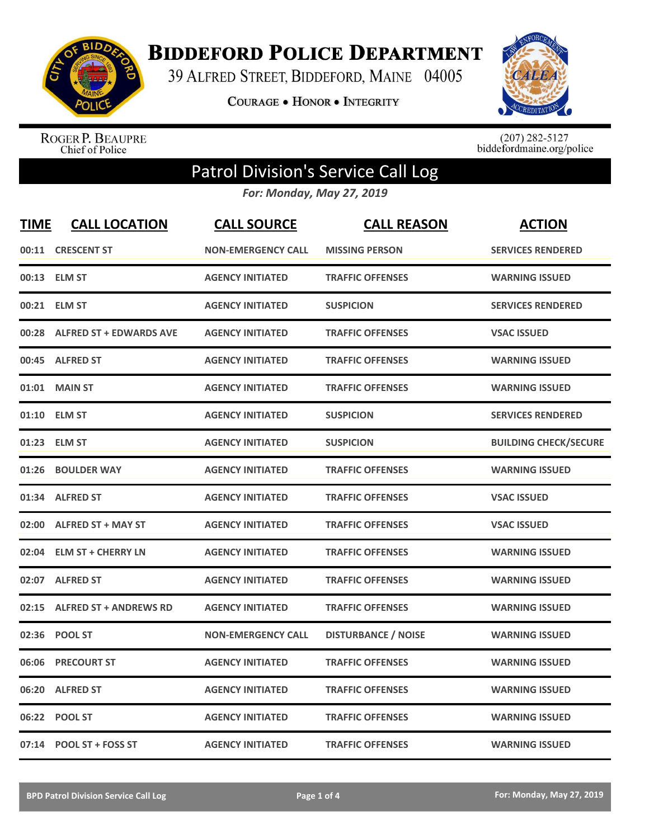

**BIDDEFORD POLICE DEPARTMENT** 

39 ALFRED STREET, BIDDEFORD, MAINE 04005

**COURAGE . HONOR . INTEGRITY** 



ROGER P. BEAUPRE<br>Chief of Police

 $(207)$  282-5127<br>biddefordmaine.org/police

## Patrol Division's Service Call Log

*For: Monday, May 27, 2019*

| <b>TIME</b> | <b>CALL LOCATION</b>           | <b>CALL SOURCE</b>        | <b>CALL REASON</b>         | <b>ACTION</b>                |
|-------------|--------------------------------|---------------------------|----------------------------|------------------------------|
|             | 00:11 CRESCENT ST              | <b>NON-EMERGENCY CALL</b> | <b>MISSING PERSON</b>      | <b>SERVICES RENDERED</b>     |
|             | 00:13 ELM ST                   | <b>AGENCY INITIATED</b>   | <b>TRAFFIC OFFENSES</b>    | <b>WARNING ISSUED</b>        |
| 00:21       | <b>ELM ST</b>                  | <b>AGENCY INITIATED</b>   | <b>SUSPICION</b>           | <b>SERVICES RENDERED</b>     |
| 00:28       | <b>ALFRED ST + EDWARDS AVE</b> | <b>AGENCY INITIATED</b>   | <b>TRAFFIC OFFENSES</b>    | <b>VSAC ISSUED</b>           |
|             | 00:45 ALFRED ST                | <b>AGENCY INITIATED</b>   | <b>TRAFFIC OFFENSES</b>    | <b>WARNING ISSUED</b>        |
| 01:01       | <b>MAIN ST</b>                 | <b>AGENCY INITIATED</b>   | <b>TRAFFIC OFFENSES</b>    | <b>WARNING ISSUED</b>        |
| 01:10       | <b>ELM ST</b>                  | <b>AGENCY INITIATED</b>   | <b>SUSPICION</b>           | <b>SERVICES RENDERED</b>     |
| 01:23       | <b>ELM ST</b>                  | <b>AGENCY INITIATED</b>   | <b>SUSPICION</b>           | <b>BUILDING CHECK/SECURE</b> |
| 01:26       | <b>BOULDER WAY</b>             | <b>AGENCY INITIATED</b>   | <b>TRAFFIC OFFENSES</b>    | <b>WARNING ISSUED</b>        |
| 01:34       | <b>ALFRED ST</b>               | <b>AGENCY INITIATED</b>   | <b>TRAFFIC OFFENSES</b>    | <b>VSAC ISSUED</b>           |
| 02:00       | <b>ALFRED ST + MAY ST</b>      | <b>AGENCY INITIATED</b>   | <b>TRAFFIC OFFENSES</b>    | <b>VSAC ISSUED</b>           |
| 02:04       | <b>ELM ST + CHERRY LN</b>      | <b>AGENCY INITIATED</b>   | <b>TRAFFIC OFFENSES</b>    | <b>WARNING ISSUED</b>        |
| 02:07       | <b>ALFRED ST</b>               | <b>AGENCY INITIATED</b>   | <b>TRAFFIC OFFENSES</b>    | <b>WARNING ISSUED</b>        |
| 02:15       | <b>ALFRED ST + ANDREWS RD</b>  | <b>AGENCY INITIATED</b>   | <b>TRAFFIC OFFENSES</b>    | <b>WARNING ISSUED</b>        |
| 02:36       | <b>POOL ST</b>                 | <b>NON-EMERGENCY CALL</b> | <b>DISTURBANCE / NOISE</b> | <b>WARNING ISSUED</b>        |
| 06:06       | <b>PRECOURT ST</b>             | <b>AGENCY INITIATED</b>   | <b>TRAFFIC OFFENSES</b>    | <b>WARNING ISSUED</b>        |
| 06:20       | <b>ALFRED ST</b>               | <b>AGENCY INITIATED</b>   | <b>TRAFFIC OFFENSES</b>    | <b>WARNING ISSUED</b>        |
| 06:22       | <b>POOL ST</b>                 | <b>AGENCY INITIATED</b>   | <b>TRAFFIC OFFENSES</b>    | <b>WARNING ISSUED</b>        |
|             | 07:14 POOL ST + FOSS ST        | <b>AGENCY INITIATED</b>   | <b>TRAFFIC OFFENSES</b>    | <b>WARNING ISSUED</b>        |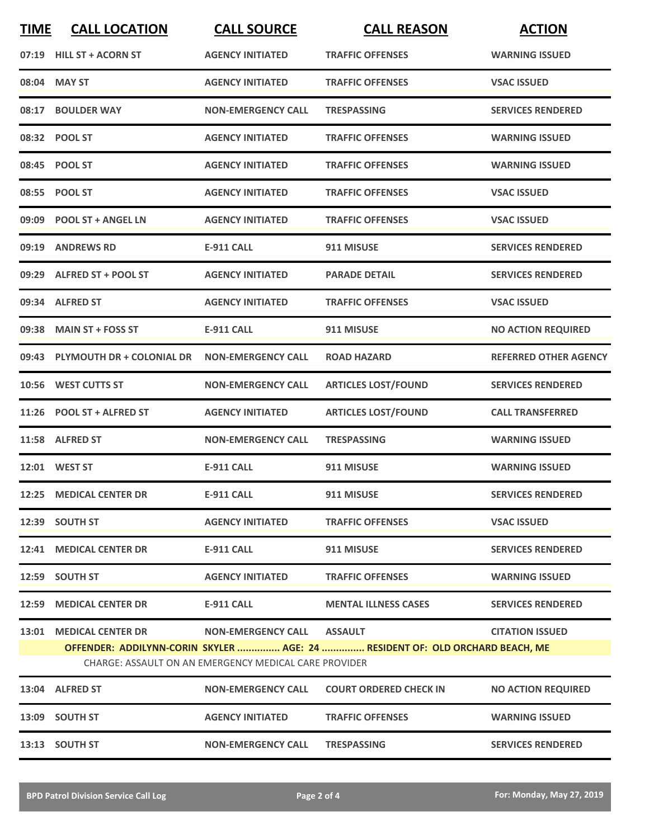| <b>TIME</b> | <b>CALL LOCATION</b>            | <b>CALL SOURCE</b>                                                                 | <b>CALL REASON</b>                                                                             | <b>ACTION</b>                |
|-------------|---------------------------------|------------------------------------------------------------------------------------|------------------------------------------------------------------------------------------------|------------------------------|
|             | 07:19 HILL ST + ACORN ST        | <b>AGENCY INITIATED</b>                                                            | <b>TRAFFIC OFFENSES</b>                                                                        | <b>WARNING ISSUED</b>        |
|             | 08:04 MAY ST                    | <b>AGENCY INITIATED</b>                                                            | <b>TRAFFIC OFFENSES</b>                                                                        | <b>VSAC ISSUED</b>           |
|             | 08:17 BOULDER WAY               | <b>NON-EMERGENCY CALL</b>                                                          | <b>TRESPASSING</b>                                                                             | <b>SERVICES RENDERED</b>     |
|             | 08:32 POOL ST                   | <b>AGENCY INITIATED</b>                                                            | <b>TRAFFIC OFFENSES</b>                                                                        | <b>WARNING ISSUED</b>        |
|             | 08:45 POOL ST                   | <b>AGENCY INITIATED</b>                                                            | <b>TRAFFIC OFFENSES</b>                                                                        | <b>WARNING ISSUED</b>        |
|             | 08:55 POOL ST                   | <b>AGENCY INITIATED</b>                                                            | <b>TRAFFIC OFFENSES</b>                                                                        | <b>VSAC ISSUED</b>           |
|             | 09:09 POOL ST + ANGEL LN        | <b>AGENCY INITIATED</b>                                                            | <b>TRAFFIC OFFENSES</b>                                                                        | <b>VSAC ISSUED</b>           |
|             | 09:19 ANDREWS RD                | <b>E-911 CALL</b>                                                                  | 911 MISUSE                                                                                     | <b>SERVICES RENDERED</b>     |
|             | 09:29 ALFRED ST + POOL ST       | <b>AGENCY INITIATED</b>                                                            | <b>PARADE DETAIL</b>                                                                           | <b>SERVICES RENDERED</b>     |
|             | 09:34 ALFRED ST                 | <b>AGENCY INITIATED</b>                                                            | <b>TRAFFIC OFFENSES</b>                                                                        | <b>VSAC ISSUED</b>           |
|             | 09:38 MAIN ST + FOSS ST         | <b>E-911 CALL</b>                                                                  | 911 MISUSE                                                                                     | <b>NO ACTION REQUIRED</b>    |
|             | 09:43 PLYMOUTH DR + COLONIAL DR | <b>NON-EMERGENCY CALL</b>                                                          | <b>ROAD HAZARD</b>                                                                             | <b>REFERRED OTHER AGENCY</b> |
| 10:56       | <b>WEST CUTTS ST</b>            | <b>NON-EMERGENCY CALL</b>                                                          | <b>ARTICLES LOST/FOUND</b>                                                                     | <b>SERVICES RENDERED</b>     |
|             | 11:26 POOL ST + ALFRED ST       | <b>AGENCY INITIATED</b>                                                            | <b>ARTICLES LOST/FOUND</b>                                                                     | <b>CALL TRANSFERRED</b>      |
|             | 11:58 ALFRED ST                 | <b>NON-EMERGENCY CALL</b>                                                          | <b>TRESPASSING</b>                                                                             | <b>WARNING ISSUED</b>        |
|             | 12:01 WEST ST                   | <b>E-911 CALL</b>                                                                  | 911 MISUSE                                                                                     | <b>WARNING ISSUED</b>        |
|             | 12:25 MEDICAL CENTER DR         | <b>E-911 CALL</b>                                                                  | 911 MISUSE                                                                                     | <b>SERVICES RENDERED</b>     |
|             | 12:39 SOUTH ST                  | <b>AGENCY INITIATED</b>                                                            | <b>TRAFFIC OFFENSES</b>                                                                        | <b>VSAC ISSUED</b>           |
|             | 12:41 MEDICAL CENTER DR         | E-911 CALL                                                                         | 911 MISUSE                                                                                     | <b>SERVICES RENDERED</b>     |
|             | 12:59 SOUTH ST                  | <b>AGENCY INITIATED</b>                                                            | <b>TRAFFIC OFFENSES</b>                                                                        | <b>WARNING ISSUED</b>        |
|             | 12:59 MEDICAL CENTER DR         | E-911 CALL                                                                         | <b>MENTAL ILLNESS CASES</b>                                                                    | <b>SERVICES RENDERED</b>     |
|             | 13:01 MEDICAL CENTER DR         | <b>NON-EMERGENCY CALL</b><br>CHARGE: ASSAULT ON AN EMERGENCY MEDICAL CARE PROVIDER | <b>ASSAULT</b><br>OFFENDER: ADDILYNN-CORIN SKYLER  AGE: 24  RESIDENT OF: OLD ORCHARD BEACH, ME | <b>CITATION ISSUED</b>       |
|             | 13:04 ALFRED ST                 | <b>NON-EMERGENCY CALL</b>                                                          | <b>COURT ORDERED CHECK IN</b>                                                                  | <b>NO ACTION REQUIRED</b>    |
|             | 13:09 SOUTH ST                  | <b>AGENCY INITIATED</b>                                                            | <b>TRAFFIC OFFENSES</b>                                                                        | <b>WARNING ISSUED</b>        |
|             | 13:13 SOUTH ST                  | <b>NON-EMERGENCY CALL</b>                                                          | <b>TRESPASSING</b>                                                                             | <b>SERVICES RENDERED</b>     |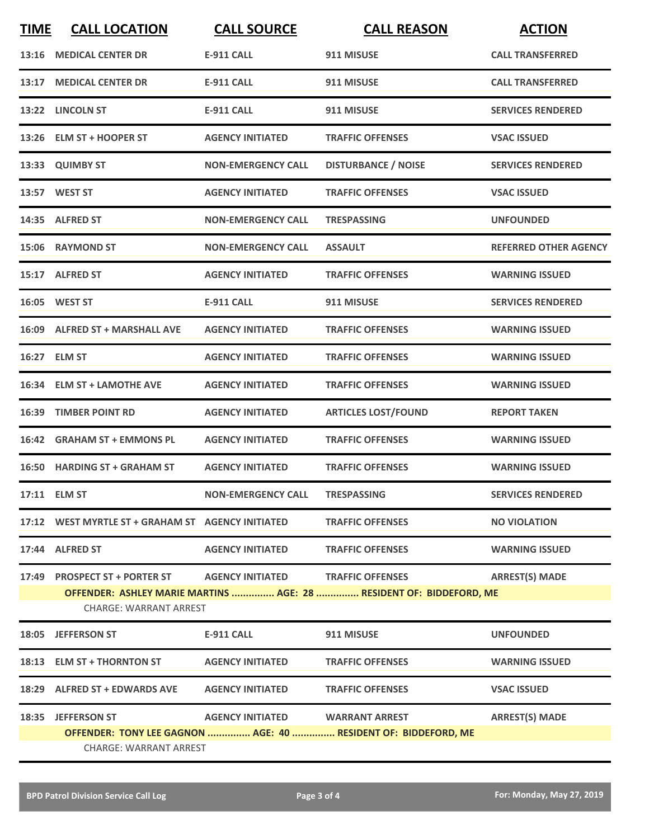| <b>TIME</b> | <b>CALL LOCATION</b>                                                                            | <b>CALL SOURCE</b>                | <b>CALL REASON</b>                                                  | <b>ACTION</b>                |  |
|-------------|-------------------------------------------------------------------------------------------------|-----------------------------------|---------------------------------------------------------------------|------------------------------|--|
|             | 13:16 MEDICAL CENTER DR                                                                         | <b>E-911 CALL</b>                 | 911 MISUSE                                                          | <b>CALL TRANSFERRED</b>      |  |
|             | 13:17 MEDICAL CENTER DR                                                                         | <b>E-911 CALL</b>                 | 911 MISUSE                                                          | <b>CALL TRANSFERRED</b>      |  |
|             | 13:22 LINCOLN ST                                                                                | <b>E-911 CALL</b>                 | 911 MISUSE                                                          | <b>SERVICES RENDERED</b>     |  |
|             | 13:26 ELM ST + HOOPER ST                                                                        | <b>AGENCY INITIATED</b>           | <b>TRAFFIC OFFENSES</b>                                             | <b>VSAC ISSUED</b>           |  |
|             | 13:33 QUIMBY ST                                                                                 | <b>NON-EMERGENCY CALL</b>         | <b>DISTURBANCE / NOISE</b>                                          | <b>SERVICES RENDERED</b>     |  |
|             | 13:57 WEST ST                                                                                   | <b>AGENCY INITIATED</b>           | <b>TRAFFIC OFFENSES</b>                                             | <b>VSAC ISSUED</b>           |  |
|             | 14:35 ALFRED ST                                                                                 | <b>NON-EMERGENCY CALL</b>         | <b>TRESPASSING</b>                                                  | <b>UNFOUNDED</b>             |  |
|             | 15:06 RAYMOND ST                                                                                | <b>NON-EMERGENCY CALL</b>         | <b>ASSAULT</b>                                                      | <b>REFERRED OTHER AGENCY</b> |  |
|             | 15:17 ALFRED ST                                                                                 | <b>AGENCY INITIATED</b>           | <b>TRAFFIC OFFENSES</b>                                             | <b>WARNING ISSUED</b>        |  |
|             | 16:05 WEST ST                                                                                   | <b>E-911 CALL</b>                 | 911 MISUSE                                                          | <b>SERVICES RENDERED</b>     |  |
|             | 16:09 ALFRED ST + MARSHALL AVE                                                                  | <b>AGENCY INITIATED</b>           | <b>TRAFFIC OFFENSES</b>                                             | <b>WARNING ISSUED</b>        |  |
|             | 16:27 ELM ST                                                                                    | <b>AGENCY INITIATED</b>           | <b>TRAFFIC OFFENSES</b>                                             | <b>WARNING ISSUED</b>        |  |
|             | 16:34 ELM ST + LAMOTHE AVE                                                                      | <b>AGENCY INITIATED</b>           | <b>TRAFFIC OFFENSES</b>                                             | <b>WARNING ISSUED</b>        |  |
|             | 16:39 TIMBER POINT RD                                                                           | <b>AGENCY INITIATED</b>           | <b>ARTICLES LOST/FOUND</b>                                          | <b>REPORT TAKEN</b>          |  |
|             | 16:42 GRAHAM ST + EMMONS PL                                                                     | <b>AGENCY INITIATED</b>           | <b>TRAFFIC OFFENSES</b>                                             | <b>WARNING ISSUED</b>        |  |
|             | 16:50 HARDING ST + GRAHAM ST                                                                    | <b>AGENCY INITIATED</b>           | <b>TRAFFIC OFFENSES</b>                                             | <b>WARNING ISSUED</b>        |  |
|             | 17:11 ELM ST                                                                                    | <b>NON-EMERGENCY CALL</b>         | <b>TRESPASSING</b>                                                  | <b>SERVICES RENDERED</b>     |  |
|             | 17:12 WEST MYRTLE ST + GRAHAM ST AGENCY INITIATED TRAFFIC OFFENSES                              |                                   |                                                                     | <b>NO VIOLATION</b>          |  |
|             | 17:44 ALFRED ST                                                                                 | AGENCY INITIATED TRAFFIC OFFENSES |                                                                     | <b>WARNING ISSUED</b>        |  |
|             | 17:49 PROSPECT ST + PORTER ST AGENCY INITIATED TRAFFIC OFFENSES                                 |                                   | OFFENDER: ASHLEY MARIE MARTINS  AGE: 28  RESIDENT OF: BIDDEFORD, ME | <b>ARREST(S) MADE</b>        |  |
|             | <b>CHARGE: WARRANT ARREST</b>                                                                   |                                   |                                                                     |                              |  |
|             | 18:05 JEFFERSON ST                                                                              | E-911 CALL                        | 911 MISUSE                                                          | <b>UNFOUNDED</b>             |  |
|             | 18:13 ELM ST + THORNTON ST AGENCY INITIATED                                                     |                                   | <b>TRAFFIC OFFENSES</b>                                             | <b>WARNING ISSUED</b>        |  |
|             | 18:29 ALFRED ST + EDWARDS AVE AGENCY INITIATED TRAFFIC OFFENSES                                 |                                   |                                                                     | <b>VSAC ISSUED</b>           |  |
|             | 18:35 JEFFERSON ST                                                                              | AGENCY INITIATED WARRANT ARREST   |                                                                     | <b>ARREST(S) MADE</b>        |  |
|             | OFFENDER: TONY LEE GAGNON  AGE: 40  RESIDENT OF: BIDDEFORD, ME<br><b>CHARGE: WARRANT ARREST</b> |                                   |                                                                     |                              |  |